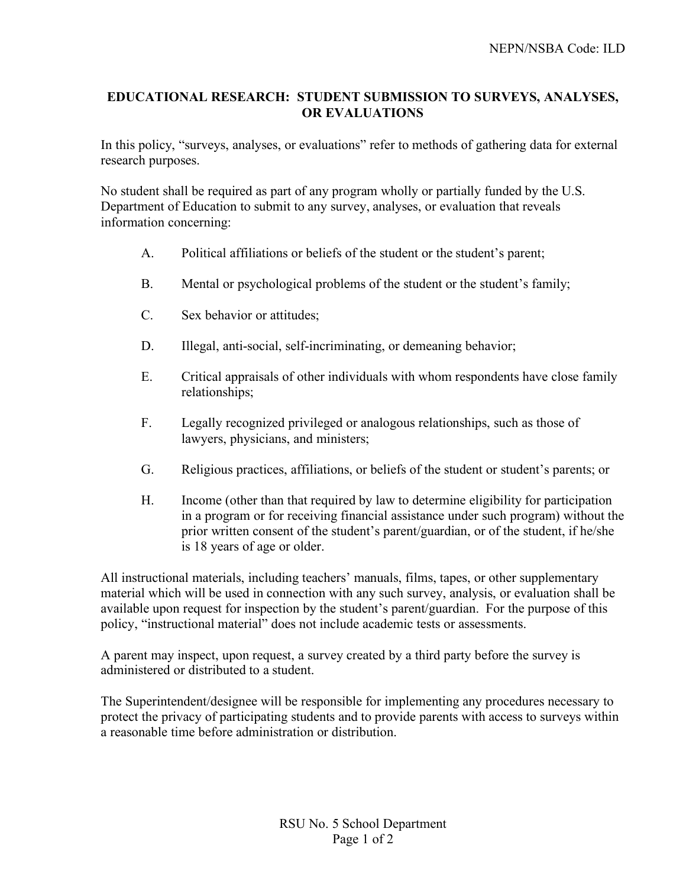## **EDUCATIONAL RESEARCH: STUDENT SUBMISSION TO SURVEYS, ANALYSES, OR EVALUATIONS**

In this policy, "surveys, analyses, or evaluations" refer to methods of gathering data for external research purposes.

No student shall be required as part of any program wholly or partially funded by the U.S. Department of Education to submit to any survey, analyses, or evaluation that reveals information concerning:

- A. Political affiliations or beliefs of the student or the student's parent;
- B. Mental or psychological problems of the student or the student's family;
- C. Sex behavior or attitudes;
- D. Illegal, anti-social, self-incriminating, or demeaning behavior;
- E. Critical appraisals of other individuals with whom respondents have close family relationships;
- F. Legally recognized privileged or analogous relationships, such as those of lawyers, physicians, and ministers;
- G. Religious practices, affiliations, or beliefs of the student or student's parents; or
- H. Income (other than that required by law to determine eligibility for participation in a program or for receiving financial assistance under such program) without the prior written consent of the student's parent/guardian, or of the student, if he/she is 18 years of age or older.

All instructional materials, including teachers' manuals, films, tapes, or other supplementary material which will be used in connection with any such survey, analysis, or evaluation shall be available upon request for inspection by the student's parent/guardian. For the purpose of this policy, "instructional material" does not include academic tests or assessments.

A parent may inspect, upon request, a survey created by a third party before the survey is administered or distributed to a student.

The Superintendent/designee will be responsible for implementing any procedures necessary to protect the privacy of participating students and to provide parents with access to surveys within a reasonable time before administration or distribution.